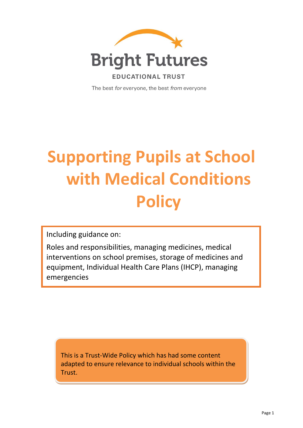

The best for everyone, the best from everyone

# **Supporting Pupils at School with Medical Conditions Policy**

Including guidance on:

Roles and responsibilities, managing medicines, medical interventions on school premises, storage of medicines and equipment, Individual Health Care Plans (IHCP), managing emergencies

This is a Trust-Wide Policy which has had some content adapted to ensure relevance to individual schools within the Trust.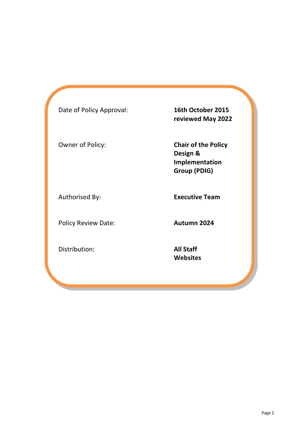| Date of Policy Approval:   | 16th October 2015<br>reviewed May 2022                                          |
|----------------------------|---------------------------------------------------------------------------------|
| Owner of Policy:           | <b>Chair of the Policy</b><br>Design &<br>Implementation<br><b>Group (PDIG)</b> |
| Authorised By:             | <b>Executive Team</b>                                                           |
| <b>Policy Review Date:</b> | Autumn 2024                                                                     |
| Distribution:              | <b>All Staff</b><br><b>Websites</b>                                             |
|                            |                                                                                 |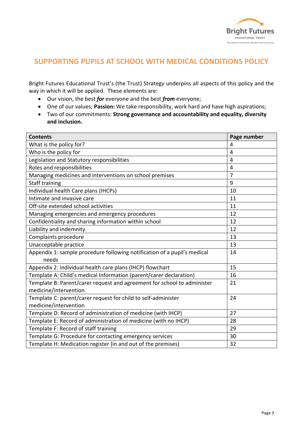

# **SUPPORTING PUPILS AT SCHOOL WITH MEDICAL CONDITIONS POLICY**

Bright Futures Educational Trust's (the Trust) Strategy underpins all aspects of this policy and the way in which it will be applied. These elements are:

- Our vision, the best *for* everyone and the best *from* everyone;
- One of our values; **Passion:** We take responsibility, work hard and have high aspirations;
- Two of our commitments: **Strong governance and accountability and equality, diversity and inclusion.**

| <b>Contents</b>                                                          | Page number    |
|--------------------------------------------------------------------------|----------------|
| What is the policy for?                                                  | 4              |
| Who is the policy for                                                    | 4              |
| Legislation and Statutory responsibilities                               | $\overline{4}$ |
| Roles and responsibilities                                               | 4              |
| Managing medicines and interventions on school premises                  | $\overline{7}$ |
| <b>Staff training</b>                                                    | 9              |
| Individual health Care plans (IHCPs)                                     | 10             |
| Intimate and invasive care                                               | 11             |
| Off-site extended school activities                                      | 11             |
| Managing emergencies and emergency procedures                            | 12             |
| Confidentiality and sharing information within school                    | 12             |
| Liability and indemnity                                                  | 12             |
| Complaints procedure                                                     | 13             |
| Unacceptable practice                                                    | 13             |
| Appendix 1: sample procedure following notification of a pupil's medical | 14             |
| needs                                                                    |                |
| Appendix 2: individual health care plans (IHCP) flowchart                | 15             |
| Template A: Child's medical Information (parent/carer declaration)       | 16             |
| Template B: Parent/carer request and agreement for school to administer  | 21             |
| medicine/intervention                                                    |                |
| Template C: parent/carer request for child to self-administer            | 24             |
| medicine/intervention                                                    |                |
| Template D: Record of administration of medicine (with IHCP)             | 27             |
| Template E: Record of administration of medicine (with no IHCP)          | 28             |
| Template F: Record of staff training                                     | 29             |
| Template G: Procedure for contacting emergency services                  | 30             |
| Template H: Medication register (in and out of the premises)             | 32             |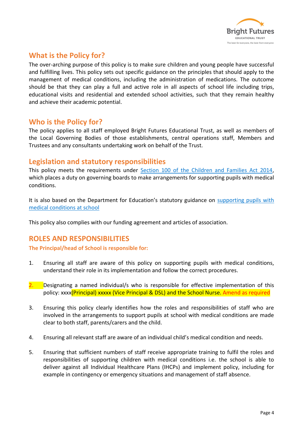

# **What is the Policy for?**

The over-arching purpose of this policy is to make sure children and young people have successful and fulfilling lives. This policy sets out specific guidance on the principles that should apply to the management of medical conditions, including the administration of medications. The outcome should be that they can play a full and active role in all aspects of school life including trips, educational visits and residential and extended school activities, such that they remain healthy and achieve their academic potential.

## **Who is the Policy for?**

The policy applies to all staff employed Bright Futures Educational Trust, as well as members of the Local Governing Bodies of those establishments, central operations staff, Members and Trustees and any consultants undertaking work on behalf of the Trust.

## **Legislation and statutory responsibilities**

This policy meets the requirements under [Section 100 of the Children and Families Act 2014,](http://www.legislation.gov.uk/ukpga/2014/6/part/5/crossheading/pupils-with-medical-conditions) which places a duty on governing boards to make arrangements for supporting pupils with medical conditions.

It is also based on the Department for Education's statutory guidance on [supporting pupils with](https://www.gov.uk/government/publications/supporting-pupils-at-school-with-medical-conditions--3)  [medical conditions at school](https://www.gov.uk/government/publications/supporting-pupils-at-school-with-medical-conditions--3)

This policy also complies with our funding agreement and articles of association.

## **ROLES AND RESPONSIBILITIES**

#### **The Principal/head of School is responsible for:**

- 1. Ensuring all staff are aware of this policy on supporting pupils with medical conditions, understand their role in its implementation and follow the correct procedures.
- 2. Designating a named individual/s who is responsible for effective implementation of this policy: xxxx(Principal) xxxxx (Vice Principal & DSL) and the School Nurse. Amend as required
- 3. Ensuring this policy clearly identifies how the roles and responsibilities of staff who are involved in the arrangements to support pupils at school with medical conditions are made clear to both staff, parents/carers and the child.
- 4. Ensuring all relevant staff are aware of an individual child's medical condition and needs.
- 5. Ensuring that sufficient numbers of staff receive appropriate training to fulfil the roles and responsibilities of supporting children with medical conditions i.e. the school is able to deliver against all Individual Healthcare Plans (IHCPs) and implement policy, including for example in contingency or emergency situations and management of staff absence.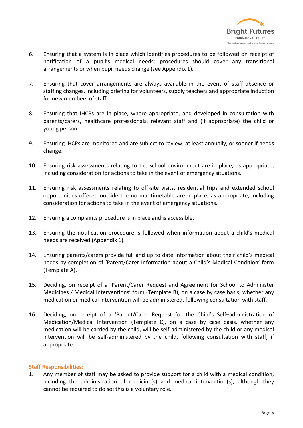

- 6. Ensuring that a system is in place which identifies procedures to be followed on receipt of notification of a pupil's medical needs; procedures should cover any transitional arrangements or when pupil needs change (see Appendix 1).
- 7. Ensuring that cover arrangements are always available in the event of staff absence or staffing changes, including briefing for volunteers, supply teachers and appropriate induction for new members of staff.
- 8. Ensuring that IHCPs are in place, where appropriate, and developed in consultation with parents/carers, healthcare professionals, relevant staff and (if appropriate) the child or young person.
- 9. Ensuring IHCPs are monitored and are subject to review, at least annually, or sooner if needs change.
- 10. Ensuring risk assessments relating to the school environment are in place, as appropriate, including consideration for actions to take in the event of emergency situations.
- 11. Ensuring risk assessments relating to off-site visits, residential trips and extended school opportunities offered outside the normal timetable are in place, as appropriate, including consideration for actions to take in the event of emergency situations.
- 12. Ensuring a complaints procedure is in place and is accessible.
- 13. Ensuring the notification procedure is followed when information about a child's medical needs are received (Appendix 1).
- 14. Ensuring parents/carers provide full and up to date information about their child's medical needs by completion of 'Parent/Carer Information about a Child's Medical Condition' form (Template A).
- 15. Deciding, on receipt of a 'Parent/Carer Request and Agreement for School to Administer Medicines / Medical Interventions' form (Template B), on a case by case basis, whether any medication or medical intervention will be administered, following consultation with staff.
- 16. Deciding, on receipt of a 'Parent/Carer Request for the Child's Self–administration of Medication/Medical Intervention (Template C), on a case by case basis, whether any medication will be carried by the child, will be self-administered by the child or any medical intervention will be self-administered by the child, following consultation with staff, if appropriate.

#### **Staff Responsibilities:**

1. Any member of staff may be asked to provide support for a child with a medical condition, including the administration of medicine(s) and medical intervention(s), although they cannot be required to do so; this is a voluntary role.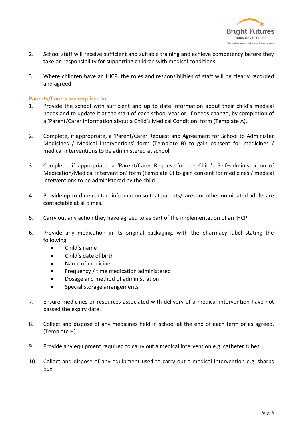

- 2. School staff will receive sufficient and suitable training and achieve competency before they take on responsibility for supporting children with medical conditions.
- 3. Where children have an IHCP, the roles and responsibilities of staff will be clearly recorded and agreed.

#### **Parents/Carers are required to:**

- 1. Provide the school with sufficient and up to date information about their child's medical needs and to update it at the start of each school year or, if needs change, by completion of a 'Parent/Carer Information about a Child's Medical Condition' form (Template A).
- 2. Complete, if appropriate, a 'Parent/Carer Request and Agreement for School to Administer Medicines / Medical interventions' form (Template B) to gain consent for medicines / medical interventions to be administered at school.
- 3. Complete, if appropriate, a 'Parent/Carer Request for the Child's Self–administration of Medication/Medical Intervention' form (Template C) to gain consent for medicines / medical interventions to be administered by the child.
- 4. Provide up-to-date contact information so that parents/carers or other nominated adults are contactable at all times.
- 5. Carry out any action they have agreed to as part of the implementation of an IHCP.
- 6. Provide any medication in its original packaging, with the pharmacy label stating the following:
	- Child's name
	- Child's date of birth
	- Name of medicine
	- Frequency / time medication administered
	- Dosage and method of administration
	- Special storage arrangements
- 7. Ensure medicines or resources associated with delivery of a medical intervention have not passed the expiry date.
- 8. Collect and dispose of any medicines held in school at the end of each term or as agreed. (Template H)
- 9. Provide any equipment required to carry out a medical intervention e.g. catheter tubes.
- 10. Collect and dispose of any equipment used to carry out a medical intervention e.g. sharps box.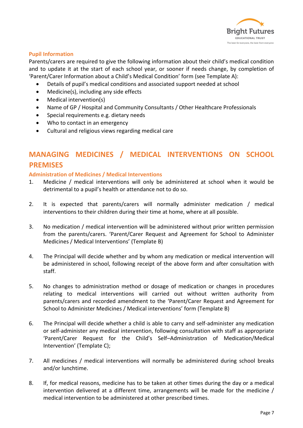

#### **Pupil Information**

Parents/carers are required to give the following information about their child's medical condition and to update it at the start of each school year, or sooner if needs change, by completion of 'Parent/Carer Information about a Child's Medical Condition' form (see Template A):

- Details of pupil's medical conditions and associated support needed at school
- Medicine(s), including any side effects
- Medical intervention(s)
- Name of GP / Hospital and Community Consultants / Other Healthcare Professionals
- Special requirements e.g. dietary needs
- Who to contact in an emergency
- Cultural and religious views regarding medical care

# **MANAGING MEDICINES / MEDICAL INTERVENTIONS ON SCHOOL PREMISES**

#### **Administration of Medicines / Medical Interventions**

- 1. Medicine / medical interventions will only be administered at school when it would be detrimental to a pupil's health or attendance not to do so.
- 2. It is expected that parents/carers will normally administer medication / medical interventions to their children during their time at home, where at all possible.
- 3. No medication / medical intervention will be administered without prior written permission from the parents/carers. 'Parent/Carer Request and Agreement for School to Administer Medicines / Medical Interventions' (Template B)
- 4. The Principal will decide whether and by whom any medication or medical intervention will be administered in school, following receipt of the above form and after consultation with staff.
- 5. No changes to administration method or dosage of medication or changes in procedures relating to medical interventions will carried out without written authority from parents/carers and recorded amendment to the 'Parent/Carer Request and Agreement for School to Administer Medicines / Medical interventions' form (Template B)
- 6. The Principal will decide whether a child is able to carry and self-administer any medication or self-administer any medical intervention, following consultation with staff as appropriate 'Parent/Carer Request for the Child's Self–Administration of Medication/Medical Intervention' (Template C);
- 7. All medicines / medical interventions will normally be administered during school breaks and/or lunchtime.
- 8. If, for medical reasons, medicine has to be taken at other times during the day or a medical intervention delivered at a different time, arrangements will be made for the medicine / medical intervention to be administered at other prescribed times.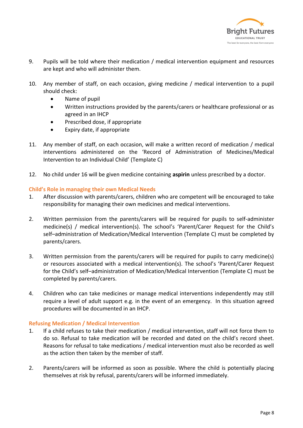

- 9. Pupils will be told where their medication / medical intervention equipment and resources are kept and who will administer them.
- 10. Any member of staff, on each occasion, giving medicine / medical intervention to a pupil should check:
	- Name of pupil
	- Written instructions provided by the parents/carers or healthcare professional or as agreed in an IHCP
	- Prescribed dose, if appropriate
	- Expiry date, if appropriate
- 11. Any member of staff, on each occasion, will make a written record of medication / medical interventions administered on the 'Record of Administration of Medicines/Medical Intervention to an Individual Child' (Template C)
- 12. No child under 16 will be given medicine containing **aspirin** unless prescribed by a doctor.

#### **Child's Role in managing their own Medical Needs**

- 1. After discussion with parents/carers, children who are competent will be encouraged to take responsibility for managing their own medicines and medical interventions.
- 2. Written permission from the parents/carers will be required for pupils to self-administer medicine(s) / medical intervention(s). The school's 'Parent/Carer Request for the Child's self–administration of Medication/Medical Intervention (Template C) must be completed by parents/carers.
- 3. Written permission from the parents/carers will be required for pupils to carry medicine(s) or resources associated with a medical intervention(s). The school's 'Parent/Carer Request for the Child's self–administration of Medication/Medical Intervention (Template C) must be completed by parents/carers.
- 4. Children who can take medicines or manage medical interventions independently may still require a level of adult support e.g. in the event of an emergency. In this situation agreed procedures will be documented in an IHCP.

#### **Refusing Medication / Medical Intervention**

- 1. If a child refuses to take their medication / medical intervention, staff will not force them to do so. Refusal to take medication will be recorded and dated on the child's record sheet. Reasons for refusal to take medications / medical intervention must also be recorded as well as the action then taken by the member of staff.
- 2. Parents/carers will be informed as soon as possible. Where the child is potentially placing themselves at risk by refusal, parents/carers will be informed immediately.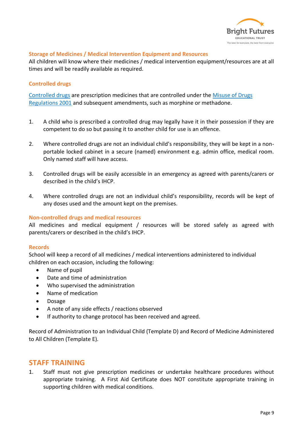

#### **Storage of Medicines / Medical Intervention Equipment and Resources**

All children will know where their medicines / medical intervention equipment/resources are at all times and will be readily available as required.

#### **Controlled drugs**

[Controlled drugs](http://www.nhs.uk/chq/Pages/1391.aspx?CategoryID=73) are prescription medicines that are controlled under the [Misuse of Drugs](http://www.legislation.gov.uk/uksi/2001/3998/schedule/1/made)  [Regulations 2001](http://www.legislation.gov.uk/uksi/2001/3998/schedule/1/made) and subsequent amendments, such as morphine or methadone.

- 1. A child who is prescribed a controlled drug may legally have it in their possession if they are competent to do so but passing it to another child for use is an offence.
- 2. Where controlled drugs are not an individual child's responsibility, they will be kept in a nonportable locked cabinet in a secure (named) environment e.g. admin office, medical room. Only named staff will have access.
- 3. Controlled drugs will be easily accessible in an emergency as agreed with parents/carers or described in the child's IHCP.
- 4. Where controlled drugs are not an individual child's responsibility, records will be kept of any doses used and the amount kept on the premises.

#### **Non-controlled drugs and medical resources**

All medicines and medical equipment / resources will be stored safely as agreed with parents/carers or described in the child's IHCP.

#### **Records**

School will keep a record of all medicines / medical interventions administered to individual children on each occasion, including the following:

- Name of pupil
- Date and time of administration
- Who supervised the administration
- Name of medication
- Dosage
- A note of any side effects / reactions observed
- If authority to change protocol has been received and agreed.

Record of Administration to an Individual Child (Template D) and Record of Medicine Administered to All Children (Template E).

#### **STAFF TRAINING**

1. Staff must not give prescription medicines or undertake healthcare procedures without appropriate training. A First Aid Certificate does NOT constitute appropriate training in supporting children with medical conditions.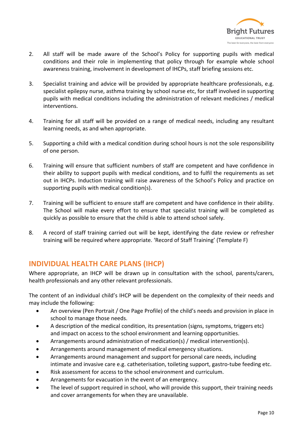

- 2. All staff will be made aware of the School's Policy for supporting pupils with medical conditions and their role in implementing that policy through for example whole school awareness training, involvement in development of IHCPs, staff briefing sessions etc.
- 3. Specialist training and advice will be provided by appropriate healthcare professionals, e.g. specialist epilepsy nurse, asthma training by school nurse etc, for staff involved in supporting pupils with medical conditions including the administration of relevant medicines / medical interventions.
- 4. Training for all staff will be provided on a range of medical needs, including any resultant learning needs, as and when appropriate.
- 5. Supporting a child with a medical condition during school hours is not the sole responsibility of one person.
- 6. Training will ensure that sufficient numbers of staff are competent and have confidence in their ability to support pupils with medical conditions, and to fulfil the requirements as set out in IHCPs. Induction training will raise awareness of the School's Policy and practice on supporting pupils with medical condition(s).
- 7. Training will be sufficient to ensure staff are competent and have confidence in their ability. The School will make every effort to ensure that specialist training will be completed as quickly as possible to ensure that the child is able to attend school safely.
- 8. A record of staff training carried out will be kept, identifying the date review or refresher training will be required where appropriate. 'Record of Staff Training' (Template F)

# **INDIVIDUAL HEALTH CARE PLANS (IHCP)**

Where appropriate, an IHCP will be drawn up in consultation with the school, parents/carers, health professionals and any other relevant professionals.

The content of an individual child's IHCP will be dependent on the complexity of their needs and may include the following:

- An overview (Pen Portrait / One Page Profile) of the child's needs and provision in place in school to manage those needs.
- A description of the medical condition, its presentation (signs, symptoms, triggers etc) and impact on access to the school environment and learning opportunities.
- Arrangements around administration of medication(s) / medical intervention(s).
- Arrangements around management of medical emergency situations.
- Arrangements around management and support for personal care needs, including intimate and invasive care e.g. catheterisation, toileting support, gastro-tube feeding etc.
- Risk assessment for access to the school environment and curriculum.
- Arrangements for evacuation in the event of an emergency.
- The level of support required in school, who will provide this support, their training needs and cover arrangements for when they are unavailable.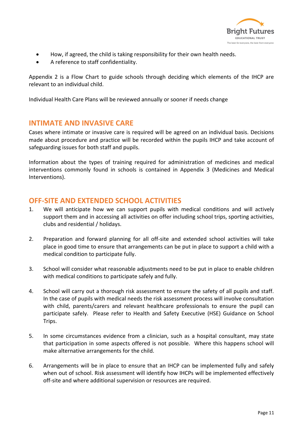

- How, if agreed, the child is taking responsibility for their own health needs.
- A reference to staff confidentiality.

Appendix 2 is a Flow Chart to guide schools through deciding which elements of the IHCP are relevant to an individual child.

Individual Health Care Plans will be reviewed annually or sooner if needs change

## **INTIMATE AND INVASIVE CARE**

Cases where intimate or invasive care is required will be agreed on an individual basis. Decisions made about procedure and practice will be recorded within the pupils IHCP and take account of safeguarding issues for both staff and pupils.

Information about the types of training required for administration of medicines and medical interventions commonly found in schools is contained in Appendix 3 (Medicines and Medical Interventions).

## **OFF-SITE AND EXTENDED SCHOOL ACTIVITIES**

- 1. We will anticipate how we can support pupils with medical conditions and will actively support them and in accessing all activities on offer including school trips, sporting activities, clubs and residential / holidays.
- 2. Preparation and forward planning for all off-site and extended school activities will take place in good time to ensure that arrangements can be put in place to support a child with a medical condition to participate fully.
- 3. School will consider what reasonable adjustments need to be put in place to enable children with medical conditions to participate safely and fully.
- 4. School will carry out a thorough risk assessment to ensure the safety of all pupils and staff. In the case of pupils with medical needs the risk assessment process will involve consultation with child, parents/carers and relevant healthcare professionals to ensure the pupil can participate safely. Please refer to Health and Safety Executive (HSE) Guidance on School Trips.
- 5. In some circumstances evidence from a clinician, such as a hospital consultant, may state that participation in some aspects offered is not possible. Where this happens school will make alternative arrangements for the child.
- 6. Arrangements will be in place to ensure that an IHCP can be implemented fully and safely when out of school. Risk assessment will identify how IHCPs will be implemented effectively off-site and where additional supervision or resources are required.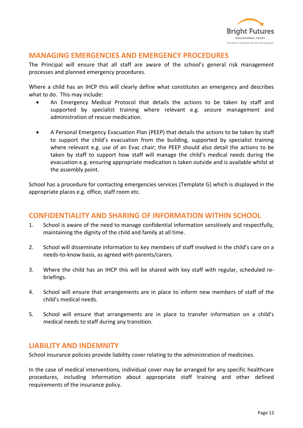

# **MANAGING EMERGENCIES AND EMERGENCY PROCEDURES**

The Principal will ensure that all staff are aware of the school's general risk management processes and planned emergency procedures.

Where a child has an IHCP this will clearly define what constitutes an emergency and describes what to do. This may include:

- An Emergency Medical Protocol that details the actions to be taken by staff and supported by specialist training where relevant e.g. seizure management and administration of rescue medication.
- A Personal Emergency Evacuation Plan (PEEP) that details the actions to be taken by staff to support the child's evacuation from the building, supported by specialist training where relevant e.g. use of an Evac chair; the PEEP should also detail the actions to be taken by staff to support how staff will manage the child's medical needs during the evacuation e.g. ensuring appropriate medication is taken outside and is available whilst at the assembly point.

School has a procedure for contacting emergencies services (Template G) which is displayed in the appropriate places e.g. office, staff room etc.

# **CONFIDENTIALITY AND SHARING OF INFORMATION WITHIN SCHOOL**

- 1. School is aware of the need to manage confidential information sensitively and respectfully, maintaining the dignity of the child and family at all time.
- 2. School will disseminate information to key members of staff involved in the child's care on a needs-to-know basis, as agreed with parents/carers.
- 3. Where the child has an IHCP this will be shared with key staff with regular, scheduled rebriefings.
- 4. School will ensure that arrangements are in place to inform new members of staff of the child's medical needs.
- 5. School will ensure that arrangements are in place to transfer information on a child's medical needs to staff during any transition.

## **LIABILITY AND INDEMNITY**

School insurance policies provide liability cover relating to the administration of medicines.

In the case of medical interventions, individual cover may be arranged for any specific healthcare procedures, including information about appropriate staff training and other defined requirements of the insurance policy.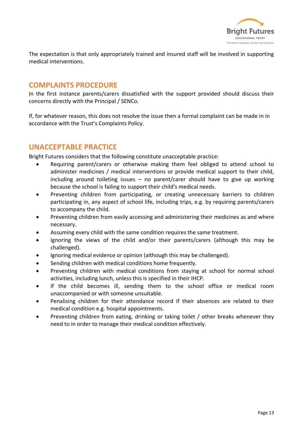

The expectation is that only appropriately trained and insured staff will be involved in supporting medical interventions.

# **COMPLAINTS PROCEDURE**

In the first instance parents/carers dissatisfied with the support provided should discuss their concerns directly with the Principal / SENCo.

If, for whatever reason, this does not resolve the issue then a formal complaint can be made in in accordance with the Trust's Complaints Policy.

# **UNACCEPTABLE PRACTICE**

Bright Futures considers that the following constitute unacceptable practice:

- Requiring parent/carers or otherwise making them feel obliged to attend school to administer medicines / medical interventions or provide medical support to their child, including around toileting issues – no parent/carer should have to give up working because the school is failing to support their child's medical needs.
- Preventing children from participating, or creating unnecessary barriers to children participating in, any aspect of school life, including trips, e.g. by requiring parents/carers to accompany the child.
- Preventing children from easily accessing and administering their medicines as and where necessary.
- Assuming every child with the same condition requires the same treatment.
- Ignoring the views of the child and/or their parents/carers (although this may be challenged).
- Ignoring medical evidence or opinion (although this may be challenged).
- Sending children with medical conditions home frequently.
- Preventing children with medical conditions from staying at school for normal school activities, including lunch, unless this is specified in their IHCP.
- If the child becomes ill, sending them to the school office or medical room unaccompanied or with someone unsuitable.
- Penalising children for their attendance record if their absences are related to their medical condition e.g. hospital appointments.
- Preventing children from eating, drinking or taking toilet / other breaks whenever they need to in order to manage their medical condition effectively.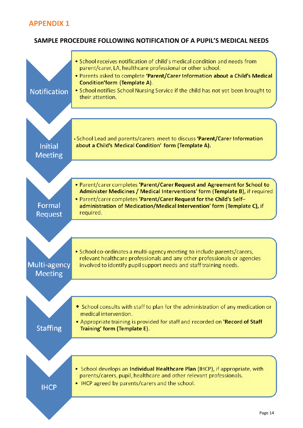## **SAMPLE PROCEDURE FOLLOWING NOTIFICATION OF A PUPIL'S MEDICAL NEEDS**

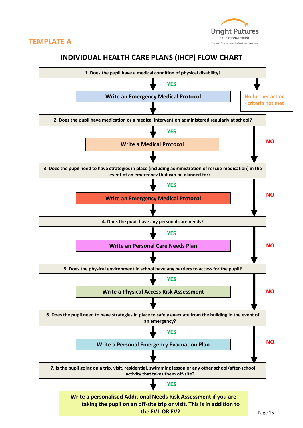



# **INDIVIDUAL HEALTH CARE PLANS (IHCP) FLOW CHART**

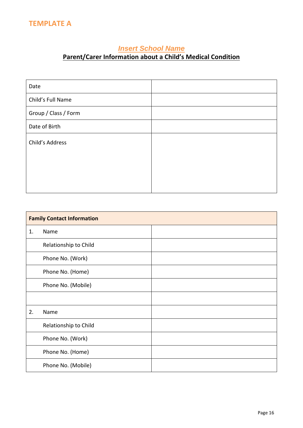# *Insert School Name*

# **Parent/Carer Information about a Child's Medical Condition**

| Date                 |  |
|----------------------|--|
| Child's Full Name    |  |
| Group / Class / Form |  |
| Date of Birth        |  |
| Child's Address      |  |
|                      |  |
|                      |  |
|                      |  |

|    | <b>Family Contact Information</b> |  |  |
|----|-----------------------------------|--|--|
| 1. | Name                              |  |  |
|    | Relationship to Child             |  |  |
|    | Phone No. (Work)                  |  |  |
|    | Phone No. (Home)                  |  |  |
|    | Phone No. (Mobile)                |  |  |
|    |                                   |  |  |
| 2. | Name                              |  |  |
|    | Relationship to Child             |  |  |
|    | Phone No. (Work)                  |  |  |
|    | Phone No. (Home)                  |  |  |
|    | Phone No. (Mobile)                |  |  |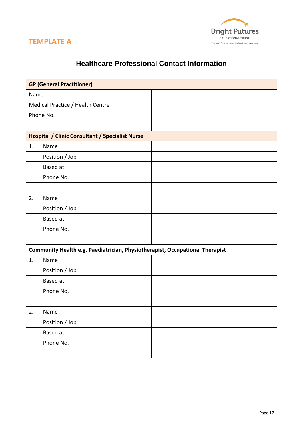



# **Healthcare Professional Contact Information**

|      | <b>GP (General Practitioner)</b>                                             |  |
|------|------------------------------------------------------------------------------|--|
| Name |                                                                              |  |
|      | Medical Practice / Health Centre                                             |  |
|      | Phone No.                                                                    |  |
|      |                                                                              |  |
|      | <b>Hospital / Clinic Consultant / Specialist Nurse</b>                       |  |
| 1.   | Name                                                                         |  |
|      | Position / Job                                                               |  |
|      | <b>Based</b> at                                                              |  |
|      | Phone No.                                                                    |  |
|      |                                                                              |  |
| 2.   | Name                                                                         |  |
|      | Position / Job                                                               |  |
|      | <b>Based</b> at                                                              |  |
|      | Phone No.                                                                    |  |
|      |                                                                              |  |
|      | Community Health e.g. Paediatrician, Physiotherapist, Occupational Therapist |  |
| 1.   | Name                                                                         |  |
|      | Position / Job                                                               |  |
|      | <b>Based</b> at                                                              |  |
|      | Phone No.                                                                    |  |
|      |                                                                              |  |
| 2.   | Name                                                                         |  |
|      | Position / Job                                                               |  |
|      | Based at                                                                     |  |
|      | Phone No.                                                                    |  |
|      |                                                                              |  |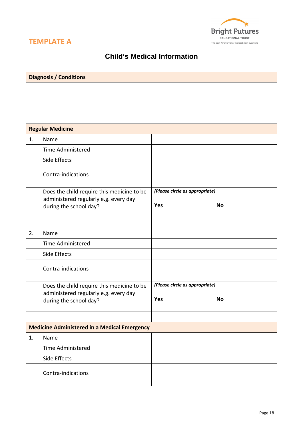



# **Child's Medical Information**

|    | <b>Diagnosis / Conditions</b>                                   |                                |           |
|----|-----------------------------------------------------------------|--------------------------------|-----------|
|    |                                                                 |                                |           |
|    |                                                                 |                                |           |
|    |                                                                 |                                |           |
|    |                                                                 |                                |           |
|    | <b>Regular Medicine</b>                                         |                                |           |
| 1. | Name                                                            |                                |           |
|    | <b>Time Administered</b>                                        |                                |           |
|    | Side Effects                                                    |                                |           |
|    | Contra-indications                                              |                                |           |
|    | Does the child require this medicine to be                      | (Please circle as appropriate) |           |
|    | administered regularly e.g. every day<br>during the school day? | Yes                            | <b>No</b> |
|    |                                                                 |                                |           |
|    |                                                                 |                                |           |
| 2. | Name                                                            |                                |           |
|    | <b>Time Administered</b>                                        |                                |           |
|    | Side Effects                                                    |                                |           |
|    | Contra-indications                                              |                                |           |
|    | Does the child require this medicine to be                      | (Please circle as appropriate) |           |
|    | administered regularly e.g. every day                           | Yes                            | <b>No</b> |
|    | during the school day?                                          |                                |           |
|    |                                                                 |                                |           |
|    | <b>Medicine Administered in a Medical Emergency</b>             |                                |           |
| 1. | Name                                                            |                                |           |
|    | <b>Time Administered</b>                                        |                                |           |
|    | Side Effects                                                    |                                |           |
|    | Contra-indications                                              |                                |           |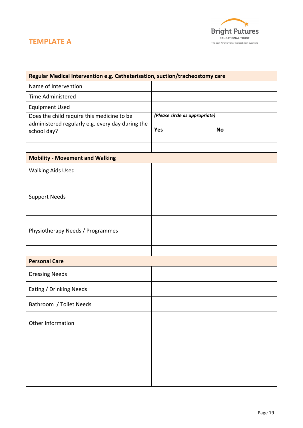

# **TEMPLATE A**

| Regular Medical Intervention e.g. Catheterisation, suction/tracheostomy care                                  |                                                    |  |
|---------------------------------------------------------------------------------------------------------------|----------------------------------------------------|--|
| Name of Intervention                                                                                          |                                                    |  |
| <b>Time Administered</b>                                                                                      |                                                    |  |
| <b>Equipment Used</b>                                                                                         |                                                    |  |
| Does the child require this medicine to be<br>administered regularly e.g. every day during the<br>school day? | (Please circle as appropriate)<br>Yes<br><b>No</b> |  |
| <b>Mobility - Movement and Walking</b>                                                                        |                                                    |  |
| <b>Walking Aids Used</b>                                                                                      |                                                    |  |
| <b>Support Needs</b>                                                                                          |                                                    |  |
| Physiotherapy Needs / Programmes                                                                              |                                                    |  |
|                                                                                                               |                                                    |  |
| <b>Personal Care</b>                                                                                          |                                                    |  |
| <b>Dressing Needs</b>                                                                                         |                                                    |  |
| Eating / Drinking Needs                                                                                       |                                                    |  |
| Bathroom / Toilet Needs                                                                                       |                                                    |  |
| Other Information                                                                                             |                                                    |  |
|                                                                                                               |                                                    |  |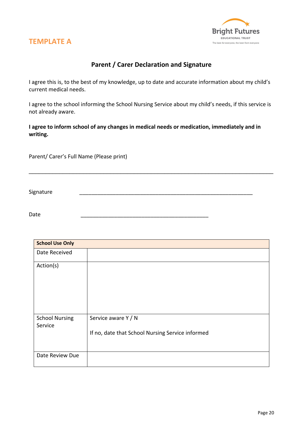



# **Parent / Carer Declaration and Signature**

I agree this is, to the best of my knowledge, up to date and accurate information about my child's current medical needs.

I agree to the school informing the School Nursing Service about my child's needs, if this service is not already aware.

\_\_\_\_\_\_\_\_\_\_\_\_\_\_\_\_\_\_\_\_\_\_\_\_\_\_\_\_\_\_\_\_\_\_\_\_\_\_\_\_\_\_\_\_\_\_\_\_\_\_\_\_\_\_\_\_\_\_\_\_\_\_\_\_\_\_\_\_\_\_\_\_

**I agree to inform school of any changes in medical needs or medication, immediately and in writing.**

Parent/ Carer's Full Name (Please print)

Signature \_\_\_\_\_\_\_\_\_\_\_\_\_\_\_\_\_\_\_\_\_\_\_\_\_\_\_\_\_\_\_\_\_\_\_\_\_\_\_\_\_\_\_\_\_\_\_\_\_\_\_\_\_\_\_\_\_

Date \_\_\_\_\_\_\_\_\_\_\_\_\_\_\_\_\_\_\_\_\_\_\_\_\_\_\_\_\_\_\_\_\_\_\_\_\_\_\_\_\_\_

| <b>School Use Only</b>           |                                                                         |
|----------------------------------|-------------------------------------------------------------------------|
| Date Received                    |                                                                         |
| Action(s)                        |                                                                         |
| <b>School Nursing</b><br>Service | Service aware Y / N<br>If no, date that School Nursing Service informed |
| Date Review Due                  |                                                                         |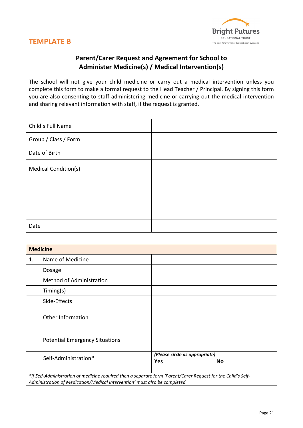



# **Parent/Carer Request and Agreement for School to Administer Medicine(s) / Medical Intervention(s)**

The school will not give your child medicine or carry out a medical intervention unless you complete this form to make a formal request to the Head Teacher / Principal. By signing this form you are also consenting to staff administering medicine or carrying out the medical intervention and sharing relevant information with staff, if the request is granted.

| Child's Full Name           |  |
|-----------------------------|--|
| Group / Class / Form        |  |
| Date of Birth               |  |
| <b>Medical Condition(s)</b> |  |
| Date                        |  |

|                                                                                                                                                                                             | <b>Medicine</b>                       |                                             |
|---------------------------------------------------------------------------------------------------------------------------------------------------------------------------------------------|---------------------------------------|---------------------------------------------|
| 1.                                                                                                                                                                                          | Name of Medicine                      |                                             |
|                                                                                                                                                                                             | Dosage                                |                                             |
|                                                                                                                                                                                             | <b>Method of Administration</b>       |                                             |
|                                                                                                                                                                                             | Timing(s)                             |                                             |
|                                                                                                                                                                                             | Side-Effects                          |                                             |
|                                                                                                                                                                                             | Other Information                     |                                             |
|                                                                                                                                                                                             | <b>Potential Emergency Situations</b> |                                             |
|                                                                                                                                                                                             | Self-Administration*                  | (Please circle as appropriate)<br>Yes<br>No |
| *If Self-Administration of medicine required then a separate form 'Parent/Carer Request for the Child's Self-<br>Administration of Medication/Medical Intervention' must also be completed. |                                       |                                             |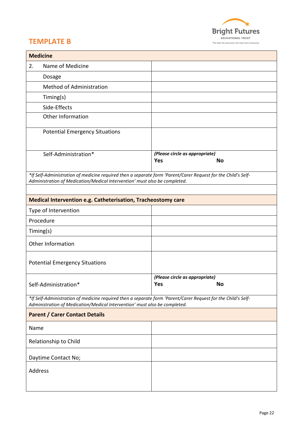

# **TEMPLATE B**

| <b>Medicine</b>                                                                                                                                                                             |                                                                            |                                                           |
|---------------------------------------------------------------------------------------------------------------------------------------------------------------------------------------------|----------------------------------------------------------------------------|-----------------------------------------------------------|
| 2.                                                                                                                                                                                          | Name of Medicine                                                           |                                                           |
|                                                                                                                                                                                             | Dosage                                                                     |                                                           |
|                                                                                                                                                                                             | <b>Method of Administration</b>                                            |                                                           |
|                                                                                                                                                                                             | Timing(s)                                                                  |                                                           |
|                                                                                                                                                                                             | Side-Effects                                                               |                                                           |
|                                                                                                                                                                                             | Other Information                                                          |                                                           |
|                                                                                                                                                                                             | <b>Potential Emergency Situations</b>                                      |                                                           |
|                                                                                                                                                                                             | Self-Administration*                                                       | (Please circle as appropriate)<br><b>Yes</b><br><b>No</b> |
| *If Self-Administration of medicine required then a separate form 'Parent/Carer Request for the Child's Self-<br>Administration of Medication/Medical Intervention' must also be completed. |                                                                            |                                                           |
|                                                                                                                                                                                             | <b>Medical Intervention e.g. Catheterisation, Tracheostomy care</b>        |                                                           |
|                                                                                                                                                                                             | Type of Intervention                                                       |                                                           |
|                                                                                                                                                                                             | Procedure                                                                  |                                                           |
|                                                                                                                                                                                             | Timing(s)                                                                  |                                                           |
|                                                                                                                                                                                             | Other Information                                                          |                                                           |
|                                                                                                                                                                                             | <b>Potential Emergency Situations</b>                                      |                                                           |
|                                                                                                                                                                                             | (Please circle as appropriate)<br><b>No</b><br>Yes<br>Self-Administration* |                                                           |
| *If Self-Administration of medicine required then a separate form 'Parent/Carer Request for the Child's Self-<br>Administration of Medication/Medical Intervention' must also be completed. |                                                                            |                                                           |
| <b>Parent / Carer Contact Details</b>                                                                                                                                                       |                                                                            |                                                           |
| Name                                                                                                                                                                                        |                                                                            |                                                           |
|                                                                                                                                                                                             | Relationship to Child                                                      |                                                           |
|                                                                                                                                                                                             | Daytime Contact No;                                                        |                                                           |
| Address                                                                                                                                                                                     |                                                                            |                                                           |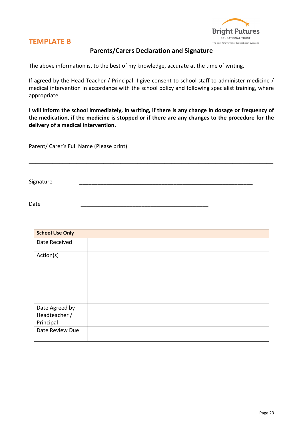

# **TEMPLATE B**

### **Parents/Carers Declaration and Signature**

The above information is, to the best of my knowledge, accurate at the time of writing.

If agreed by the Head Teacher / Principal, I give consent to school staff to administer medicine / medical intervention in accordance with the school policy and following specialist training, where appropriate.

**I will inform the school immediately, in writing, if there is any change in dosage or frequency of the medication, if the medicine is stopped or if there are any changes to the procedure for the delivery of a medical intervention.**

\_\_\_\_\_\_\_\_\_\_\_\_\_\_\_\_\_\_\_\_\_\_\_\_\_\_\_\_\_\_\_\_\_\_\_\_\_\_\_\_\_\_\_\_\_\_\_\_\_\_\_\_\_\_\_\_\_\_\_\_\_\_\_\_\_\_\_\_\_\_\_\_

Parent/ Carer's Full Name (Please print)

Signature \_\_\_\_\_\_\_\_\_\_\_\_\_\_\_\_\_\_\_\_\_\_\_\_\_\_\_\_\_\_\_\_\_\_\_\_\_\_\_\_\_\_\_\_\_\_\_\_\_\_\_\_\_\_\_\_\_

Date \_\_\_\_\_\_\_\_\_\_\_\_\_\_\_\_\_\_\_\_\_\_\_\_\_\_\_\_\_\_\_\_\_\_\_\_\_\_\_\_\_\_

| <b>School Use Only</b>                       |  |
|----------------------------------------------|--|
| Date Received                                |  |
| Action(s)                                    |  |
| Date Agreed by<br>Headteacher /<br>Principal |  |
| Date Review Due                              |  |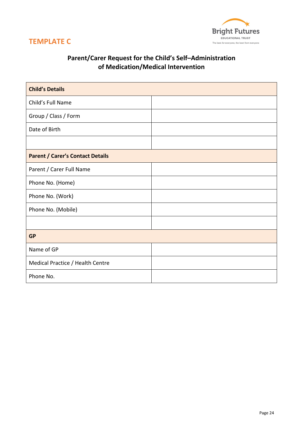



# **Parent/Carer Request for the Child's Self–Administration of Medication/Medical Intervention**

| <b>Child's Details</b>                  |  |  |  |  |  |
|-----------------------------------------|--|--|--|--|--|
| Child's Full Name                       |  |  |  |  |  |
| Group / Class / Form                    |  |  |  |  |  |
| Date of Birth                           |  |  |  |  |  |
|                                         |  |  |  |  |  |
| <b>Parent / Carer's Contact Details</b> |  |  |  |  |  |
| Parent / Carer Full Name                |  |  |  |  |  |
| Phone No. (Home)                        |  |  |  |  |  |
| Phone No. (Work)                        |  |  |  |  |  |
| Phone No. (Mobile)                      |  |  |  |  |  |
|                                         |  |  |  |  |  |
| <b>GP</b>                               |  |  |  |  |  |
| Name of GP                              |  |  |  |  |  |
| Medical Practice / Health Centre        |  |  |  |  |  |
| Phone No.                               |  |  |  |  |  |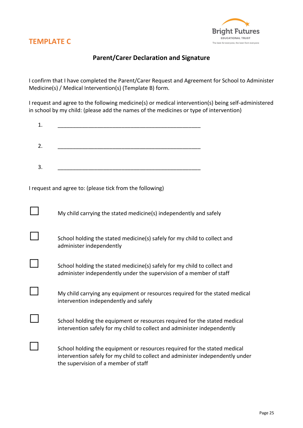



## **Parent/Carer Declaration and Signature**

I confirm that I have completed the Parent/Carer Request and Agreement for School to Administer Medicine(s) / Medical Intervention(s) (Template B) form.

I request and agree to the following medicine(s) or medical intervention(s) being self-administered in school by my child: (please add the names of the medicines or type of intervention)

| 1. |  |  |  |
|----|--|--|--|
|    |  |  |  |
| 2. |  |  |  |
|    |  |  |  |
|    |  |  |  |
| 3. |  |  |  |

I request and agree to: (please tick from the following)

the supervision of a member of staff

| My child carrying the stated medicine(s) independently and safely                                                                                           |
|-------------------------------------------------------------------------------------------------------------------------------------------------------------|
| School holding the stated medicine(s) safely for my child to collect and<br>administer independently                                                        |
| School holding the stated medicine(s) safely for my child to collect and<br>administer independently under the supervision of a member of staff             |
| My child carrying any equipment or resources required for the stated medical<br>intervention independently and safely                                       |
| School holding the equipment or resources required for the stated medical<br>intervention safely for my child to collect and administer independently       |
| School holding the equipment or resources required for the stated medical<br>intervention safely for my child to collect and administer independently under |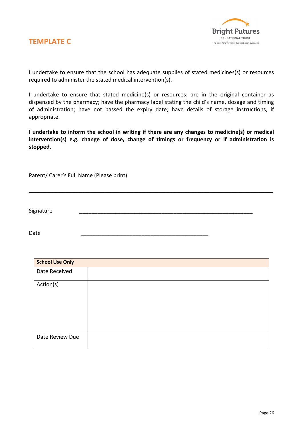



I undertake to ensure that the school has adequate supplies of stated medicines(s) or resources required to administer the stated medical intervention(s).

I undertake to ensure that stated medicine(s) or resources: are in the original container as dispensed by the pharmacy; have the pharmacy label stating the child's name, dosage and timing of administration; have not passed the expiry date; have details of storage instructions, if appropriate.

**I undertake to inform the school in writing if there are any changes to medicine(s) or medical intervention(s) e.g. change of dose, change of timings or frequency or if administration is stopped.**

\_\_\_\_\_\_\_\_\_\_\_\_\_\_\_\_\_\_\_\_\_\_\_\_\_\_\_\_\_\_\_\_\_\_\_\_\_\_\_\_\_\_\_\_\_\_\_\_\_\_\_\_\_\_\_\_\_\_\_\_\_\_\_\_\_\_\_\_\_\_\_\_

Parent/ Carer's Full Name (Please print)

Signature \_\_\_\_\_\_\_\_\_\_\_\_\_\_\_\_\_\_\_\_\_\_\_\_\_\_\_\_\_\_\_\_\_\_\_\_\_\_\_\_\_\_\_\_\_\_\_\_\_\_\_\_\_\_\_\_\_

Date \_\_\_\_\_\_\_\_\_\_\_\_\_\_\_\_\_\_\_\_\_\_\_\_\_\_\_\_\_\_\_\_\_\_\_\_\_\_\_\_\_\_

| <b>School Use Only</b> |  |  |  |  |  |  |
|------------------------|--|--|--|--|--|--|
| Date Received          |  |  |  |  |  |  |
| Action(s)              |  |  |  |  |  |  |
| Date Review Due        |  |  |  |  |  |  |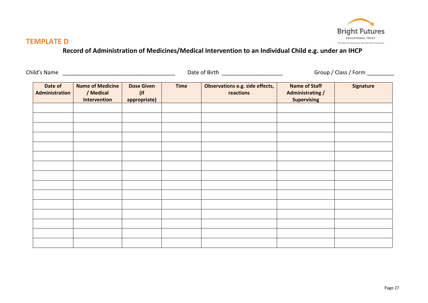

# **TEMPLATE D**

# **Record of Administration of Medicines/Medical Intervention to an Individual Child e.g. under an IHCP**

| Child's Name                     |                                                      |                                          |             | Date of Birth                                | Group / Class / Form ___________                                      |                  |  |
|----------------------------------|------------------------------------------------------|------------------------------------------|-------------|----------------------------------------------|-----------------------------------------------------------------------|------------------|--|
| Date of<br><b>Administration</b> | <b>Name of Medicine</b><br>/ Medical<br>Intervention | <b>Dose Given</b><br>(if<br>appropriate) | <b>Time</b> | Observations e.g. side effects,<br>reactions | <b>Name of Staff</b><br><b>Administrating /</b><br><b>Supervising</b> | <b>Signature</b> |  |
|                                  |                                                      |                                          |             |                                              |                                                                       |                  |  |
|                                  |                                                      |                                          |             |                                              |                                                                       |                  |  |
|                                  |                                                      |                                          |             |                                              |                                                                       |                  |  |
|                                  |                                                      |                                          |             |                                              |                                                                       |                  |  |
|                                  |                                                      |                                          |             |                                              |                                                                       |                  |  |
|                                  |                                                      |                                          |             |                                              |                                                                       |                  |  |
|                                  |                                                      |                                          |             |                                              |                                                                       |                  |  |
|                                  |                                                      |                                          |             |                                              |                                                                       |                  |  |
|                                  |                                                      |                                          |             |                                              |                                                                       |                  |  |
|                                  |                                                      |                                          |             |                                              |                                                                       |                  |  |
|                                  |                                                      |                                          |             |                                              |                                                                       |                  |  |
|                                  |                                                      |                                          |             |                                              |                                                                       |                  |  |
|                                  |                                                      |                                          |             |                                              |                                                                       |                  |  |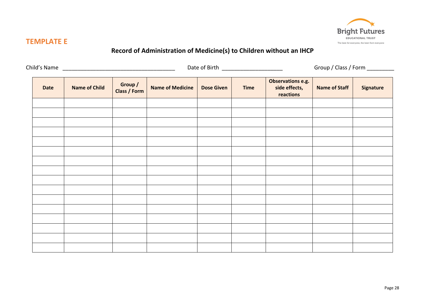

# **TEMPLATE E**

# **Record of Administration of Medicine(s) to Children without an IHCP**

|             |                      | Date of Birth ________________________ |                         |                   |             |                                                 | Group / Class / Form _________ |                  |
|-------------|----------------------|----------------------------------------|-------------------------|-------------------|-------------|-------------------------------------------------|--------------------------------|------------------|
| <b>Date</b> | <b>Name of Child</b> | Group /<br><b>Class / Form</b>         | <b>Name of Medicine</b> | <b>Dose Given</b> | <b>Time</b> | Observations e.g.<br>side effects,<br>reactions | <b>Name of Staff</b>           | <b>Signature</b> |
|             |                      |                                        |                         |                   |             |                                                 |                                |                  |
|             |                      |                                        |                         |                   |             |                                                 |                                |                  |
|             |                      |                                        |                         |                   |             |                                                 |                                |                  |
|             |                      |                                        |                         |                   |             |                                                 |                                |                  |
|             |                      |                                        |                         |                   |             |                                                 |                                |                  |
|             |                      |                                        |                         |                   |             |                                                 |                                |                  |
|             |                      |                                        |                         |                   |             |                                                 |                                |                  |
|             |                      |                                        |                         |                   |             |                                                 |                                |                  |
|             |                      |                                        |                         |                   |             |                                                 |                                |                  |
|             |                      |                                        |                         |                   |             |                                                 |                                |                  |
|             |                      |                                        |                         |                   |             |                                                 |                                |                  |
|             |                      |                                        |                         |                   |             |                                                 |                                |                  |
|             |                      |                                        |                         |                   |             |                                                 |                                |                  |
|             |                      |                                        |                         |                   |             |                                                 |                                |                  |
|             |                      |                                        |                         |                   |             |                                                 |                                |                  |
|             |                      |                                        |                         |                   |             |                                                 |                                |                  |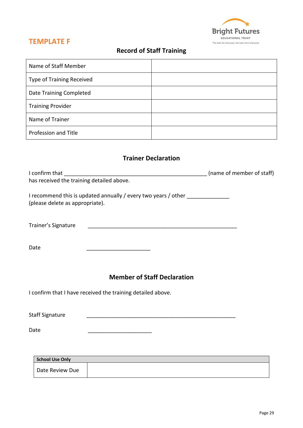

# **TEMPLATE F**

# **Record of Staff Training**

| Name of Staff Member             |  |
|----------------------------------|--|
| <b>Type of Training Received</b> |  |
| Date Training Completed          |  |
| <b>Training Provider</b>         |  |
| Name of Trainer                  |  |
| Profession and Title             |  |

## **Trainer Declaration**

| has received the training detailed above.                                                                          |  |
|--------------------------------------------------------------------------------------------------------------------|--|
| I recommend this is updated annually / every two years / other ________________<br>(please delete as appropriate). |  |
| Trainer's Signature                                                                                                |  |
| Date                                                                                                               |  |
| <b>Member of Staff Declaration</b>                                                                                 |  |
| I confirm that I have received the training detailed above.                                                        |  |
| <b>Staff Signature</b>                                                                                             |  |
| Date                                                                                                               |  |
|                                                                                                                    |  |
| <b>School Use Only</b>                                                                                             |  |
| Date Review Due                                                                                                    |  |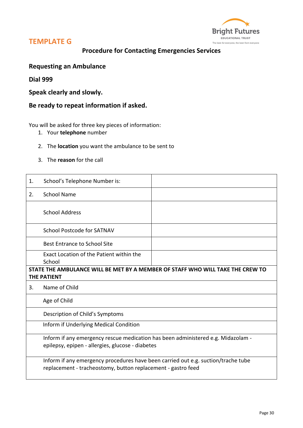



# **Procedure for Contacting Emergencies Services**

### **Requesting an Ambulance**

**Dial 999**

**Speak clearly and slowly.**

## **Be ready to repeat information if asked.**

You will be asked for three key pieces of information:

- 1. Your **telephone** number
- 2. The **location** you want the ambulance to be sent to
- 3. The **reason** for the call

| 1. | School's Telephone Number is:                                                                                                                     |                                                                                |  |  |  |  |
|----|---------------------------------------------------------------------------------------------------------------------------------------------------|--------------------------------------------------------------------------------|--|--|--|--|
| 2. | <b>School Name</b>                                                                                                                                |                                                                                |  |  |  |  |
|    | <b>School Address</b>                                                                                                                             |                                                                                |  |  |  |  |
|    | School Postcode for SATNAV                                                                                                                        |                                                                                |  |  |  |  |
|    | <b>Best Entrance to School Site</b>                                                                                                               |                                                                                |  |  |  |  |
|    | Exact Location of the Patient within the<br>School                                                                                                |                                                                                |  |  |  |  |
|    | <b>THE PATIENT</b>                                                                                                                                | STATE THE AMBULANCE WILL BE MET BY A MEMBER OF STAFF WHO WILL TAKE THE CREW TO |  |  |  |  |
| 3. | Name of Child                                                                                                                                     |                                                                                |  |  |  |  |
|    | Age of Child                                                                                                                                      |                                                                                |  |  |  |  |
|    | Description of Child's Symptoms                                                                                                                   |                                                                                |  |  |  |  |
|    | Inform if Underlying Medical Condition                                                                                                            |                                                                                |  |  |  |  |
|    | Inform if any emergency rescue medication has been administered e.g. Midazolam -<br>epilepsy, epipen - allergies, glucose - diabetes              |                                                                                |  |  |  |  |
|    | Inform if any emergency procedures have been carried out e.g. suction/trache tube<br>replacement - tracheostomy, button replacement - gastro feed |                                                                                |  |  |  |  |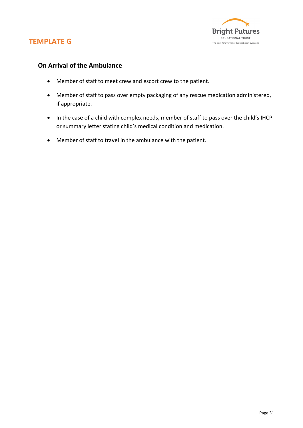



## **On Arrival of the Ambulance**

- Member of staff to meet crew and escort crew to the patient.
- Member of staff to pass over empty packaging of any rescue medication administered, if appropriate.
- In the case of a child with complex needs, member of staff to pass over the child's IHCP or summary letter stating child's medical condition and medication.
- Member of staff to travel in the ambulance with the patient.